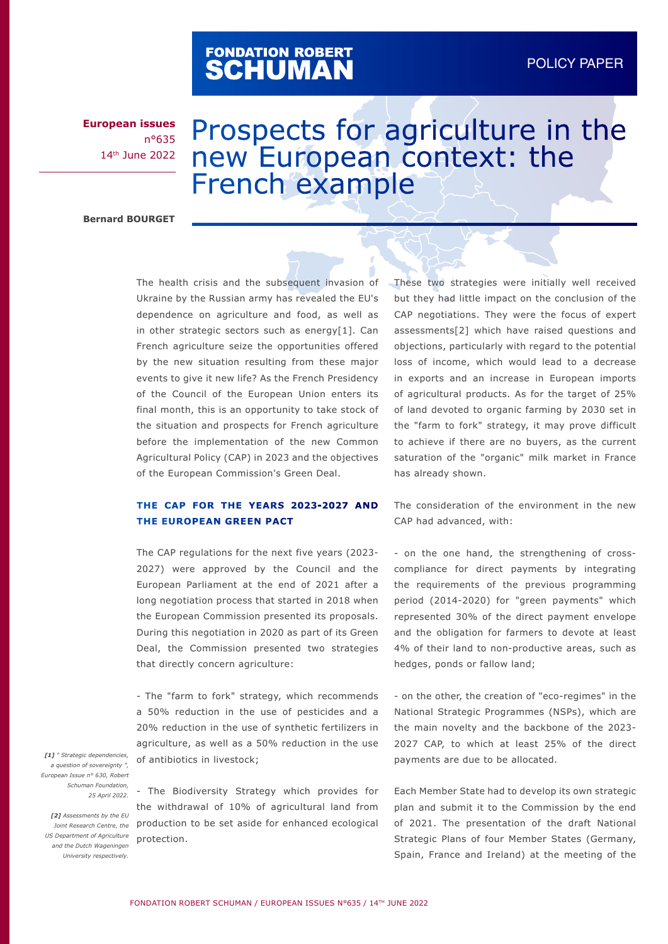# FONDATION ROBERT<br>**SCHUMAN**

**European issues** n°635 14th June 2022

## Prospects for agriculture in the new European context: the French example

**Bernard BOURGET**

The health crisis and the subsequent invasion of Ukraine by the Russian army has revealed the EU's dependence on agriculture and food, as well as in other strategic sectors such as energy[1]. Can French agriculture seize the opportunities offered by the new situation resulting from these major events to give it new life? As the French Presidency of the Council of the European Union enters its final month, this is an opportunity to take stock of the situation and prospects for French agriculture before the implementation of the new Common Agricultural Policy (CAP) in 2023 and the objectives of the European Commission's Green Deal.

#### **THE CAP FOR THE YEARS 2023-2027 AND THE EUROPEAN GREEN PACT**

The CAP regulations for the next five years (2023- 2027) were approved by the Council and the European Parliament at the end of 2021 after a long negotiation process that started in 2018 when the European Commission presented its proposals. During this negotiation in 2020 as part of its Green Deal, the Commission presented two strategies that directly concern agriculture:

- The "farm to fork" strategy, which recommends a 50% reduction in the use of pesticides and a 20% reduction in the use of synthetic fertilizers in agriculture, as well as a 50% reduction in the use of antibiotics in livestock;

*[1] " Strategic dependencies, a question of sovereignty ", European Issue n° 630, Robert Schuman Foundation, 25 April 2022.*

*[2] Assessments by the EU US Department of Agriculture and the Dutch Wageningen University respectively.*

- The Biodiversity Strategy which provides for the withdrawal of 10% of agricultural land from *Joint Research Centre, the* production to be set aside for enhanced ecological protection.

These two strategies were initially well received but they had little impact on the conclusion of the CAP negotiations. They were the focus of expert assessments[2] which have raised questions and objections, particularly with regard to the potential loss of income, which would lead to a decrease in exports and an increase in European imports of agricultural products. As for the target of 25% of land devoted to organic farming by 2030 set in the "farm to fork" strategy, it may prove difficult to achieve if there are no buyers, as the current saturation of the "organic" milk market in France has already shown.

The consideration of the environment in the new CAP had advanced, with:

- on the one hand, the strengthening of crosscompliance for direct payments by integrating the requirements of the previous programming period (2014-2020) for "green payments" which represented 30% of the direct payment envelope and the obligation for farmers to devote at least 4% of their land to non-productive areas, such as hedges, ponds or fallow land;

- on the other, the creation of "eco-regimes" in the National Strategic Programmes (NSPs), which are the main novelty and the backbone of the 2023- 2027 CAP, to which at least 25% of the direct payments are due to be allocated.

Each Member State had to develop its own strategic plan and submit it to the Commission by the end of 2021. The presentation of the draft National Strategic Plans of four Member States (Germany, Spain, France and Ireland) at the meeting of the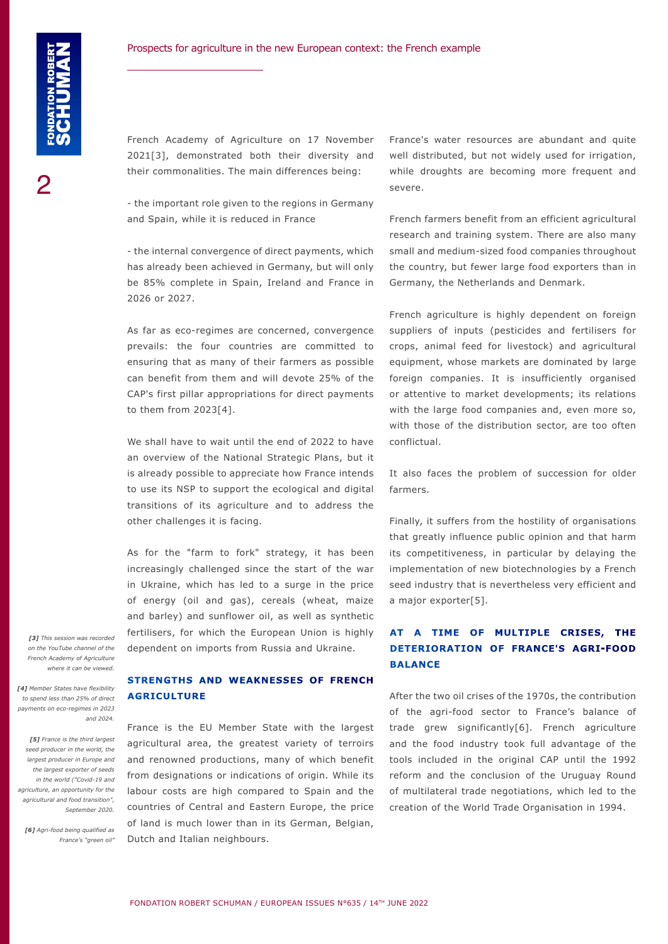French Academy of Agriculture on 17 November 2021[3], demonstrated both their diversity and their commonalities. The main differences being:

- the important role given to the regions in Germany and Spain, while it is reduced in France

- the internal convergence of direct payments, which has already been achieved in Germany, but will only be 85% complete in Spain, Ireland and France in 2026 or 2027.

As far as eco-regimes are concerned, convergence prevails: the four countries are committed to ensuring that as many of their farmers as possible can benefit from them and will devote 25% of the CAP's first pillar appropriations for direct payments to them from 2023[4].

We shall have to wait until the end of 2022 to have an overview of the National Strategic Plans, but it is already possible to appreciate how France intends to use its NSP to support the ecological and digital transitions of its agriculture and to address the other challenges it is facing.

As for the "farm to fork" strategy, it has been increasingly challenged since the start of the war in Ukraine, which has led to a surge in the price of energy (oil and gas), cereals (wheat, maize and barley) and sunflower oil, as well as synthetic fertilisers, for which the European Union is highly dependent on imports from Russia and Ukraine.

**STRENGTHS AND WEAKNESSES OF FRENCH** 

**AGRICULTURE**

*[3] This session was recorded on the YouTube channel of the French Academy of Agriculture where it can be viewed.*

*[4] Member States have flexibility to spend less than 25% of direct payments on eco-regimes in 2023 and 2024.*

*[5] France is the third largest seed producer in the world, the largest producer in Europe and the largest exporter of seeds in the world ("Covid-19 and agriculture, an opportunity for the agricultural and food transition", September 2020.*

*[6] Agri-food being qualified as France's "green oil"* France's water resources are abundant and quite well distributed, but not widely used for irrigation, while droughts are becoming more frequent and severe.

French farmers benefit from an efficient agricultural research and training system. There are also many small and medium-sized food companies throughout the country, but fewer large food exporters than in Germany, the Netherlands and Denmark.

French agriculture is highly dependent on foreign suppliers of inputs (pesticides and fertilisers for crops, animal feed for livestock) and agricultural equipment, whose markets are dominated by large foreign companies. It is insufficiently organised or attentive to market developments; its relations with the large food companies and, even more so, with those of the distribution sector, are too often conflictual.

It also faces the problem of succession for older farmers.

Finally, it suffers from the hostility of organisations that greatly influence public opinion and that harm its competitiveness, in particular by delaying the implementation of new biotechnologies by a French seed industry that is nevertheless very efficient and a major exporter[5].

#### **AT A TIME OF MULTIPLE CRISES, THE DETERIORATION OF FRANCE'S AGRI-FOOD BALANCE**

After the two oil crises of the 1970s, the contribution of the agri-food sector to France's balance of trade grew significantly[6]. French agriculture and the food industry took full advantage of the tools included in the original CAP until the 1992 reform and the conclusion of the Uruguay Round of multilateral trade negotiations, which led to the creation of the World Trade Organisation in 1994.

France is the EU Member State with the largest agricultural area, the greatest variety of terroirs and renowned productions, many of which benefit from designations or indications of origin. While its labour costs are high compared to Spain and the countries of Central and Eastern Europe, the price of land is much lower than in its German, Belgian, Dutch and Italian neighbours.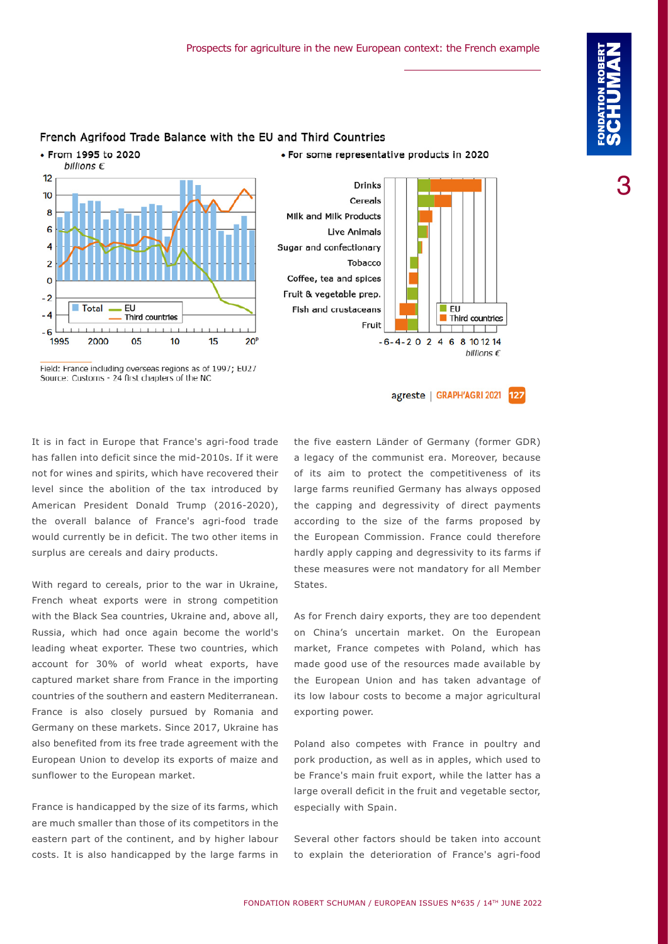#### • From 1995 to 2020 · For some representative products in 2020 billions  $\epsilon$  $12$ 10 8 6 Δ

 $\overline{2}$ 

 $\epsilon$ 

 $-2$ 

 $-4$ 

 $-6$ 1995



Fruit

Field: France including overseas regions as of 1997; EU27 Source: Customs - 24 first chapters of the NC

Third countries

 $1111111$ 

 $10$ 

15

EU

05

Total

2000

 $1 + 1 + 1 + 1$ 

 $hillions$  $f$ agreste | GRAPH'AGRI 2021 127 the five eastern Länder of Germany (former GDR) a legacy of the communist era. Moreover, because of its aim to protect the competitiveness of its large farms reunified Germany has always opposed

 $-6-4-2$  0 2 4 6 8 10 12 14

It is in fact in Europe that France's agri-food trade has fallen into deficit since the mid-2010s. If it were not for wines and spirits, which have recovered their level since the abolition of the tax introduced by American President Donald Trump (2016-2020), the overall balance of France's agri-food trade would currently be in deficit. The two other items in surplus are cereals and dairy products.

With regard to cereals, prior to the war in Ukraine, French wheat exports were in strong competition with the Black Sea countries, Ukraine and, above all, Russia, which had once again become the world's leading wheat exporter. These two countries, which account for 30% of world wheat exports, have captured market share from France in the importing countries of the southern and eastern Mediterranean. France is also closely pursued by Romania and Germany on these markets. Since 2017, Ukraine has also benefited from its free trade agreement with the European Union to develop its exports of maize and sunflower to the European market.

France is handicapped by the size of its farms, which are much smaller than those of its competitors in the eastern part of the continent, and by higher labour costs. It is also handicapped by the large farms in

according to the size of the farms proposed by the European Commission. France could therefore hardly apply capping and degressivity to its farms if these measures were not mandatory for all Member States. As for French dairy exports, they are too dependent on China's uncertain market. On the European

the capping and degressivity of direct payments

market, France competes with Poland, which has made good use of the resources made available by the European Union and has taken advantage of its low labour costs to become a major agricultural exporting power.

Poland also competes with France in poultry and pork production, as well as in apples, which used to be France's main fruit export, while the latter has a large overall deficit in the fruit and vegetable sector, especially with Spain.

Several other factors should be taken into account to explain the deterioration of France's agri-food

### French Agrifood Trade Balance with the EU and Third Countries

 $20<sup>6</sup>$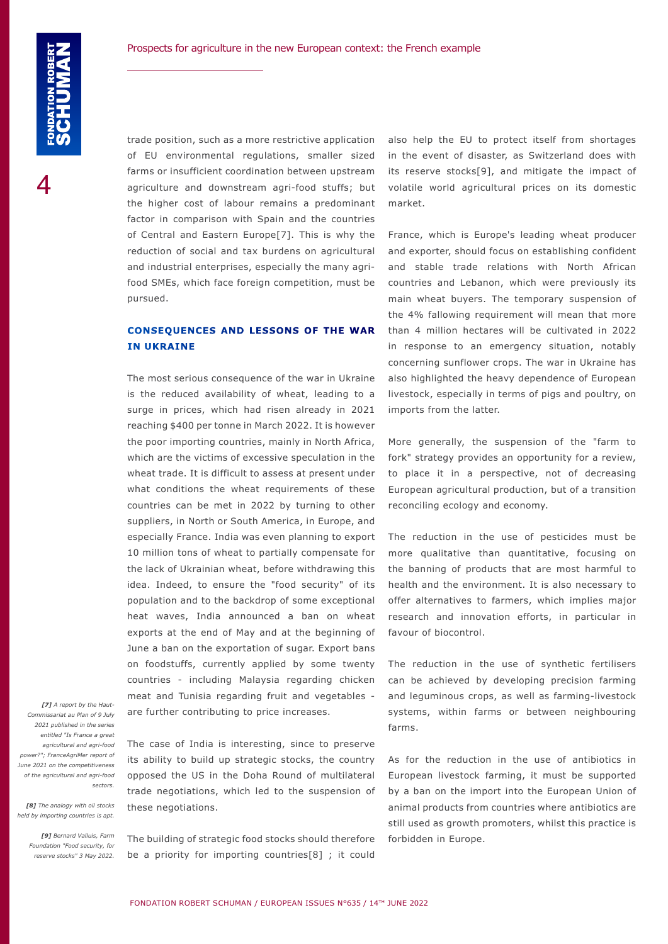trade position, such as a more restrictive application of EU environmental regulations, smaller sized farms or insufficient coordination between upstream agriculture and downstream agri-food stuffs; but the higher cost of labour remains a predominant factor in comparison with Spain and the countries of Central and Eastern Europe[7]. This is why the reduction of social and tax burdens on agricultural and industrial enterprises, especially the many agrifood SMEs, which face foreign competition, must be pursued.

#### **CONSEQUENCES AND LESSONS OF THE WAR IN UKRAINE**

The most serious consequence of the war in Ukraine is the reduced availability of wheat, leading to a surge in prices, which had risen already in 2021 reaching \$400 per tonne in March 2022. It is however the poor importing countries, mainly in North Africa, which are the victims of excessive speculation in the wheat trade. It is difficult to assess at present under what conditions the wheat requirements of these countries can be met in 2022 by turning to other suppliers, in North or South America, in Europe, and especially France. India was even planning to export 10 million tons of wheat to partially compensate for the lack of Ukrainian wheat, before withdrawing this idea. Indeed, to ensure the "food security" of its population and to the backdrop of some exceptional heat waves, India announced a ban on wheat exports at the end of May and at the beginning of June a ban on the exportation of sugar. Export bans on foodstuffs, currently applied by some twenty countries - including Malaysia regarding chicken meat and Tunisia regarding fruit and vegetables are further contributing to price increases.

*[7] A report by the Haut-Commissariat au Plan of 9 July 2021 published in the series entitled "Is France a great agricultural and agri-food power?"; FranceAgriMer report of June 2021 on the competitiveness of the agricultural and agri-food sectors.*

*[8] The analogy with oil stocks held by importing countries is apt.*

> *[9] Bernard Valluis, Farm Foundation "Food security, for reserve stocks" 3 May 2022.*

The case of India is interesting, since to preserve its ability to build up strategic stocks, the country opposed the US in the Doha Round of multilateral trade negotiations, which led to the suspension of these negotiations.

The building of strategic food stocks should therefore be a priority for importing countries[8] ; it could

also help the EU to protect itself from shortages in the event of disaster, as Switzerland does with its reserve stocks[9], and mitigate the impact of volatile world agricultural prices on its domestic market.

France, which is Europe's leading wheat producer and exporter, should focus on establishing confident and stable trade relations with North African countries and Lebanon, which were previously its main wheat buyers. The temporary suspension of the 4% fallowing requirement will mean that more than 4 million hectares will be cultivated in 2022 in response to an emergency situation, notably concerning sunflower crops. The war in Ukraine has also highlighted the heavy dependence of European livestock, especially in terms of pigs and poultry, on imports from the latter.

More generally, the suspension of the "farm to fork" strategy provides an opportunity for a review, to place it in a perspective, not of decreasing European agricultural production, but of a transition reconciling ecology and economy.

The reduction in the use of pesticides must be more qualitative than quantitative, focusing on the banning of products that are most harmful to health and the environment. It is also necessary to offer alternatives to farmers, which implies major research and innovation efforts, in particular in favour of biocontrol.

The reduction in the use of synthetic fertilisers can be achieved by developing precision farming and leguminous crops, as well as farming-livestock systems, within farms or between neighbouring farms.

As for the reduction in the use of antibiotics in European livestock farming, it must be supported by a ban on the import into the European Union of animal products from countries where antibiotics are still used as growth promoters, whilst this practice is forbidden in Europe.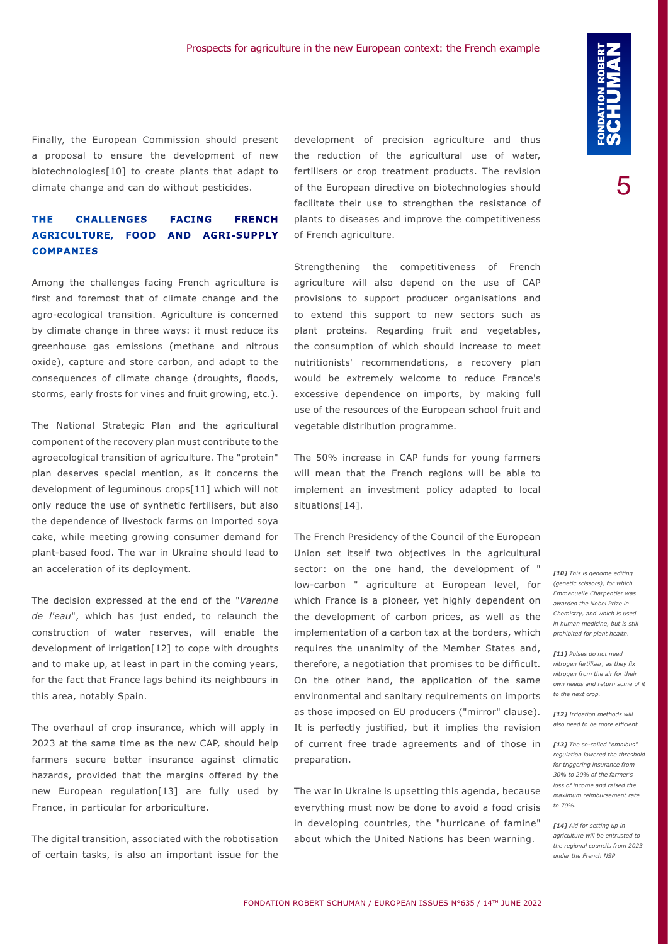Finally, the European Commission should present a proposal to ensure the development of new biotechnologies[10] to create plants that adapt to climate change and can do without pesticides.

#### **THE CHALLENGES FACING FRENCH AGRICULTURE, FOOD AND AGRI-SUPPLY COMPANIES**

Among the challenges facing French agriculture is first and foremost that of climate change and the agro-ecological transition. Agriculture is concerned by climate change in three ways: it must reduce its greenhouse gas emissions (methane and nitrous oxide), capture and store carbon, and adapt to the consequences of climate change (droughts, floods, storms, early frosts for vines and fruit growing, etc.).

The National Strategic Plan and the agricultural component of the recovery plan must contribute to the agroecological transition of agriculture. The "protein" plan deserves special mention, as it concerns the development of leguminous crops[11] which will not only reduce the use of synthetic fertilisers, but also the dependence of livestock farms on imported soya cake, while meeting growing consumer demand for plant-based food. The war in Ukraine should lead to an acceleration of its deployment.

The decision expressed at the end of the "*Varenne de l'eau*", which has just ended, to relaunch the construction of water reserves, will enable the development of irrigation[12] to cope with droughts and to make up, at least in part in the coming years, for the fact that France lags behind its neighbours in this area, notably Spain.

The overhaul of crop insurance, which will apply in 2023 at the same time as the new CAP, should help farmers secure better insurance against climatic hazards, provided that the margins offered by the new European regulation[13] are fully used by France, in particular for arboriculture.

The digital transition, associated with the robotisation of certain tasks, is also an important issue for the

development of precision agriculture and thus the reduction of the agricultural use of water, fertilisers or crop treatment products. The revision of the European directive on biotechnologies should facilitate their use to strengthen the resistance of plants to diseases and improve the competitiveness of French agriculture.

Strengthening the competitiveness of French agriculture will also depend on the use of CAP provisions to support producer organisations and to extend this support to new sectors such as plant proteins. Regarding fruit and vegetables, the consumption of which should increase to meet nutritionists' recommendations, a recovery plan would be extremely welcome to reduce France's excessive dependence on imports, by making full use of the resources of the European school fruit and vegetable distribution programme.

The 50% increase in CAP funds for young farmers will mean that the French regions will be able to implement an investment policy adapted to local situations[14].

The French Presidency of the Council of the European Union set itself two objectives in the agricultural sector: on the one hand, the development of " low-carbon " agriculture at European level, for which France is a pioneer, yet highly dependent on the development of carbon prices, as well as the implementation of a carbon tax at the borders, which requires the unanimity of the Member States and, therefore, a negotiation that promises to be difficult. On the other hand, the application of the same environmental and sanitary requirements on imports as those imposed on EU producers ("mirror" clause). It is perfectly justified, but it implies the revision of current free trade agreements and of those in preparation.

The war in Ukraine is upsetting this agenda, because everything must now be done to avoid a food crisis in developing countries, the "hurricane of famine" about which the United Nations has been warning.

*[10] This is genome editing (genetic scissors), for which Emmanuelle Charpentier was awarded the Nobel Prize in Chemistry, and which is used in human medicine, but is still prohibited for plant health.* 

*[11] Pulses do not need nitrogen fertiliser, as they fix nitrogen from the air for their own needs and return some of it to the next crop.*

*[12] Irrigation methods will also need to be more efficient* 

*[13] The so-called "omnibus" regulation lowered the threshold for triggering insurance from 30% to 20% of the farmer's loss of income and raised the maximum reimbursement rate to 70%.*

*[14] Aid for setting up in agriculture will be entrusted to the regional councils from 2023 under the French NSP*